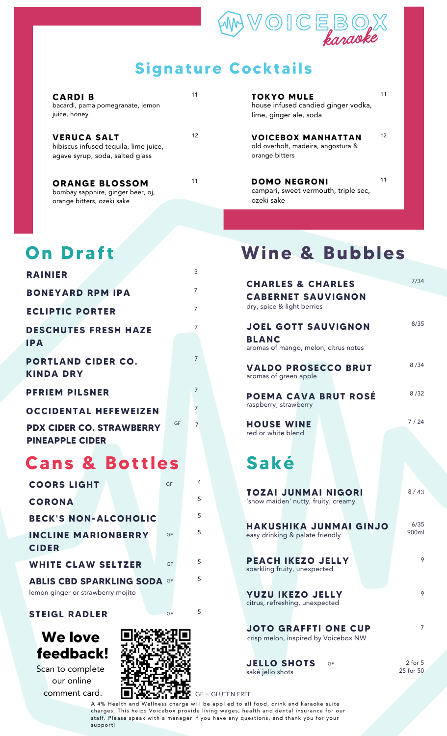

### **Signature Cocktails**

| <b>CARDIB</b><br>bacardi, pama pomegranate, lemon<br>juice, honey                              | 11 |
|------------------------------------------------------------------------------------------------|----|
| <b>VERUCA SALT</b><br>hibiscus infused tequila, lime juice,<br>agave syrup, soda, salted glass | 12 |
| <b>ORANGE BLOSSOM</b><br>bombay sapphire, ginger beer, oi,                                     | 11 |

bombay sapphire, ginger beer, oj, orange bitters, ozeki sake

## **On Draf t**

| <b>RAINIER</b>                                            |    | 5              |  |
|-----------------------------------------------------------|----|----------------|--|
| <b>BONEYARD RPM IPA</b>                                   |    | 7              |  |
| <b>ECLIPTIC PORTER</b>                                    |    | $\overline{7}$ |  |
| <b>DESCHUTES FRESH HAZE</b><br><b>IPA</b>                 |    |                |  |
| <b>PORTLAND CIDER CO.</b><br><b>KINDA DRY</b>             |    | 7              |  |
| <b>PFRIEM PILSNER</b>                                     |    | 7              |  |
| <b>OCCIDENTAL HEFEWEIZEN</b>                              |    | 7              |  |
| <b>PDX CIDER CO. STRAWBERRY</b><br><b>PINEAPPLE CIDER</b> | GF |                |  |
|                                                           |    |                |  |

## **Cans & Bot t les**

| <b>COORS LIGHT</b>                                                      | GF | 4 |
|-------------------------------------------------------------------------|----|---|
| <b>CORONA</b>                                                           |    | 5 |
| <b>BECK'S NON-ALCOHOLIC</b>                                             |    | 5 |
| <b>INCLINE MARIONBERRY</b><br><b>CIDER</b>                              | GF | 5 |
| <b>WHITE CLAW SELTZER</b>                                               | GF | 5 |
| <b>ABLIS CBD SPARKLING SODA GF</b><br>lemon ginger or strawberry mojito |    | 5 |

#### **STEIGL RADLER** GF 5

### **We love feedback!**

Scan to complete our online comment card.



**TOKYO MULE** house infused candied ginger vodka, lime, ginger ale, soda

11

12

<sup>12</sup> **VOICEBOX MANHATTAN** old overholt, madeira, angostura & orange bitters

11 **DOMO NEGRONI** campari, sweet vermouth, triple sec, ozeki sake 11

# **Wine & Bubbles**

| <b>CHARLES &amp; CHARLES</b>                                                       | 7/34                     |
|------------------------------------------------------------------------------------|--------------------------|
| <b>CABERNET SAUVIGNON</b><br>dry, spice & light berries                            |                          |
| <b>JOEL GOTT SAUVIGNON</b><br><b>BLANC</b><br>aromas of mango, melon, citrus notes | 8/35                     |
| <b>VALDO PROSECCO BRUT</b><br>aromas of green apple                                | 8/34                     |
| <b>POEMA CAVA BRUT ROSÉ</b><br>raspberry, strawberry                               | 8/32                     |
| <b>HOUSE WINE</b>                                                                  | 7/24                     |
| red or white blend                                                                 |                          |
|                                                                                    |                          |
| Saké                                                                               |                          |
| TOZAI JUNMAI NIGORI<br>'snow maiden' nutty, fruity, creamy                         | 8/43                     |
| <b>HAKUSHIKA JUNMAI GINJO</b><br>easy drinking & palate friendly                   | 6/35<br>900ml            |
| <b>PEACH IKEZO JELLY</b><br>sparkling fruity, unexpected                           | 9                        |
| <b>YUZU IKEZO JELLY</b><br>citrus, refreshing, unexpected                          | 9                        |
| <b>JOTO GRAFFTI ONE CUP</b><br>crisp melon, inspired by Voicebox NW                | 7                        |
| <b>JELLO SHOTS</b><br>GF<br>saké jello shots                                       | $2$ for $5$<br>25 for 50 |

A 4% Health and Wellness charge will be applied to all food, drink and karaoke suite charges. This helps Voicebox provide living wages, health and dental insurance for our staff. Please speak with a manager if you have any questions, and thank you for your support!

GF = GLUTEN FREE